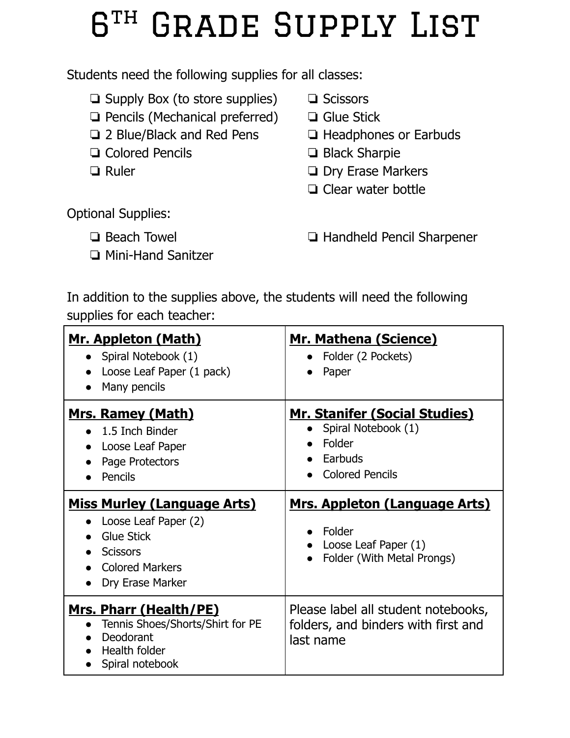## $R<sup>TH</sup>$ GRADE SUPPLY LIST

Students need the following supplies for all classes:

- ❏ Supply Box (to store supplies)
- ❏ Pencils (Mechanical preferred)
- ❏ 2 Blue/Black and Red Pens
- ❏ Colored Pencils
- ❏ Ruler
- ❏ Scissors
- ❏ Glue Stick
- ❏ Headphones or Earbuds
- ❏ Black Sharpie
- ❏ Dry Erase Markers
- ❏ Clear water bottle

Optional Supplies:

- ❏ Beach Towel
- ❏ Mini-Hand Sanitzer

❏ Handheld Pencil Sharpener

In addition to the supplies above, the students will need the following supplies for each teacher:

| Mr. Appleton (Math)<br>• Spiral Notebook (1)<br>Loose Leaf Paper (1 pack)<br>Many pencils                                                                                                                                                                   | <b>Mr. Mathena (Science)</b><br>Folder (2 Pockets)<br>Paper                                                                                                                                                        |
|-------------------------------------------------------------------------------------------------------------------------------------------------------------------------------------------------------------------------------------------------------------|--------------------------------------------------------------------------------------------------------------------------------------------------------------------------------------------------------------------|
| <u>Mrs. Ramey (Math)</u><br>$\bullet$ 1.5 Inch Binder<br>Loose Leaf Paper<br>Page Protectors<br>Pencils<br><b>Miss Murley (Language Arts)</b><br>Loose Leaf Paper (2)<br><b>Glue Stick</b><br><b>Scissors</b><br><b>Colored Markers</b><br>Dry Erase Marker | <b>Mr. Stanifer (Social Studies)</b><br>Spiral Notebook (1)<br>Folder<br>Earbuds<br><b>Colored Pencils</b><br><u>Mrs. Appleton (Language Arts)</u><br>Folder<br>Loose Leaf Paper (1)<br>Folder (With Metal Prongs) |
| <u>Mrs. Pharr (Health/PE)</u><br>Tennis Shoes/Shorts/Shirt for PE<br>Deodorant<br>Health folder<br>Spiral notebook                                                                                                                                          | Please label all student notebooks,<br>folders, and binders with first and<br>last name                                                                                                                            |